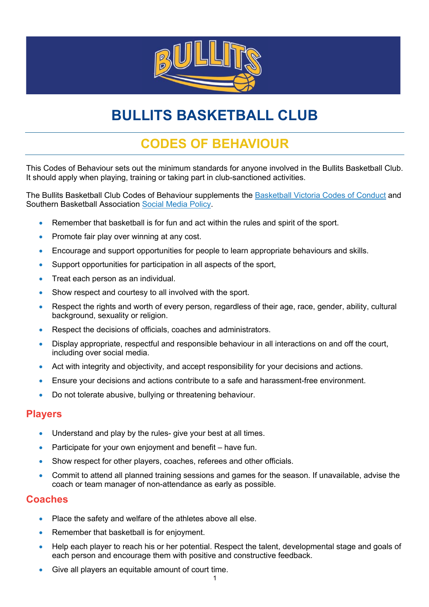

# **BULLITS BASKETBALL CLUB**

# **CODES OF BEHAVIOUR**

This Codes of Behaviour sets out the minimum standards for anyone involved in the Bullits Basketball Club. It should apply when playing, training or taking part in club-sanctioned activities.

The Bullits Basketball Club Codes of Behaviour supplements the Basketball Victoria Codes of Conduct and Southern Basketball Association Social Media Policy.

- Remember that basketball is for fun and act within the rules and spirit of the sport.
- Promote fair play over winning at any cost.
- Encourage and support opportunities for people to learn appropriate behaviours and skills.
- Support opportunities for participation in all aspects of the sport,
- Treat each person as an individual.
- Show respect and courtesy to all involved with the sport.
- Respect the rights and worth of every person, regardless of their age, race, gender, ability, cultural background, sexuality or religion.
- Respect the decisions of officials, coaches and administrators.
- Display appropriate, respectful and responsible behaviour in all interactions on and off the court, including over social media.
- Act with integrity and objectivity, and accept responsibility for your decisions and actions.
- Ensure your decisions and actions contribute to a safe and harassment-free environment.
- Do not tolerate abusive, bullying or threatening behaviour.

#### **Players**

- Understand and play by the rules- give your best at all times.
- Participate for your own enjoyment and benefit have fun.
- Show respect for other players, coaches, referees and other officials.
- Commit to attend all planned training sessions and games for the season. If unavailable, advise the coach or team manager of non-attendance as early as possible.

#### **Coaches**

- Place the safety and welfare of the athletes above all else.
- Remember that basketball is for enjoyment.
- Help each player to reach his or her potential. Respect the talent, developmental stage and goals of each person and encourage them with positive and constructive feedback.
- Give all players an equitable amount of court time.